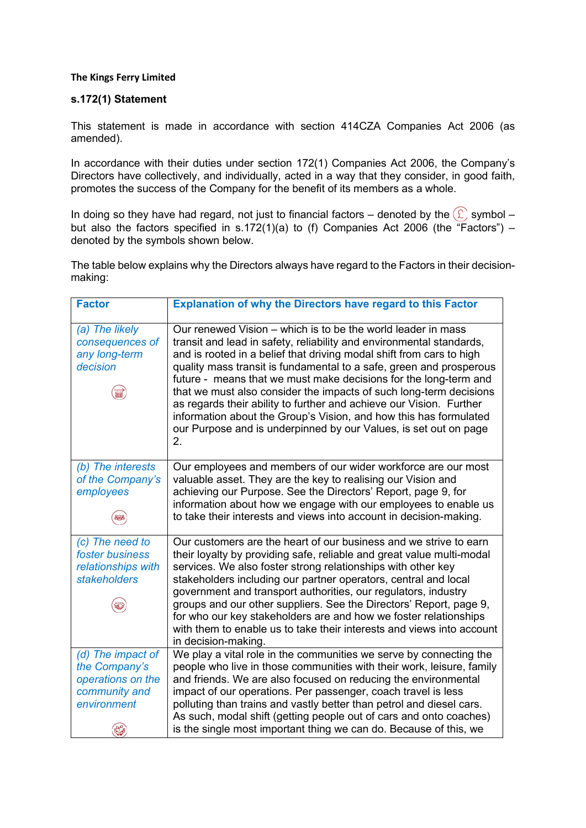## **The Kings Ferry Limited**

## **s.172(1) Statement**

This statement is made in accordance with section 414CZA Companies Act 2006 (as amended).

In accordance with their duties under section 172(1) Companies Act 2006, the Company's Directors have collectively, and individually, acted in a way that they consider, in good faith, promotes the success of the Company for the benefit of its members as a whole.

In doing so they have had regard, not just to financial factors – denoted by the  $\circledR$  symbol – but also the factors specified in s.172(1)(a) to (f) Companies Act 2006 (the "Factors") – denoted by the symbols shown below.

The table below explains why the Directors always have regard to the Factors in their decisionmaking:

| <b>Factor</b>                                                                           | <b>Explanation of why the Directors have regard to this Factor</b>                                                                                                                                                                                                                                                                                                                                                                                                                                                                                                                                                                                  |
|-----------------------------------------------------------------------------------------|-----------------------------------------------------------------------------------------------------------------------------------------------------------------------------------------------------------------------------------------------------------------------------------------------------------------------------------------------------------------------------------------------------------------------------------------------------------------------------------------------------------------------------------------------------------------------------------------------------------------------------------------------------|
| (a) The likely<br>consequences of<br>any long-term<br>decision                          | Our renewed Vision – which is to be the world leader in mass<br>transit and lead in safety, reliability and environmental standards,<br>and is rooted in a belief that driving modal shift from cars to high<br>quality mass transit is fundamental to a safe, green and prosperous<br>future - means that we must make decisions for the long-term and<br>that we must also consider the impacts of such long-term decisions<br>as regards their ability to further and achieve our Vision. Further<br>information about the Group's Vision, and how this has formulated<br>our Purpose and is underpinned by our Values, is set out on page<br>2. |
| (b) The interests<br>of the Company's<br>employees                                      | Our employees and members of our wider workforce are our most<br>valuable asset. They are the key to realising our Vision and<br>achieving our Purpose. See the Directors' Report, page 9, for<br>information about how we engage with our employees to enable us<br>to take their interests and views into account in decision-making.                                                                                                                                                                                                                                                                                                             |
| (c) The need to<br>foster business<br>relationships with<br><b>stakeholders</b>         | Our customers are the heart of our business and we strive to earn<br>their loyalty by providing safe, reliable and great value multi-modal<br>services. We also foster strong relationships with other key<br>stakeholders including our partner operators, central and local<br>government and transport authorities, our regulators, industry<br>groups and our other suppliers. See the Directors' Report, page 9,<br>for who our key stakeholders are and how we foster relationships<br>with them to enable us to take their interests and views into account<br>in decision-making.                                                           |
| (d) The impact of<br>the Company's<br>operations on the<br>community and<br>environment | We play a vital role in the communities we serve by connecting the<br>people who live in those communities with their work, leisure, family<br>and friends. We are also focused on reducing the environmental<br>impact of our operations. Per passenger, coach travel is less<br>polluting than trains and vastly better than petrol and diesel cars.<br>As such, modal shift (getting people out of cars and onto coaches)<br>is the single most important thing we can do. Because of this, we                                                                                                                                                   |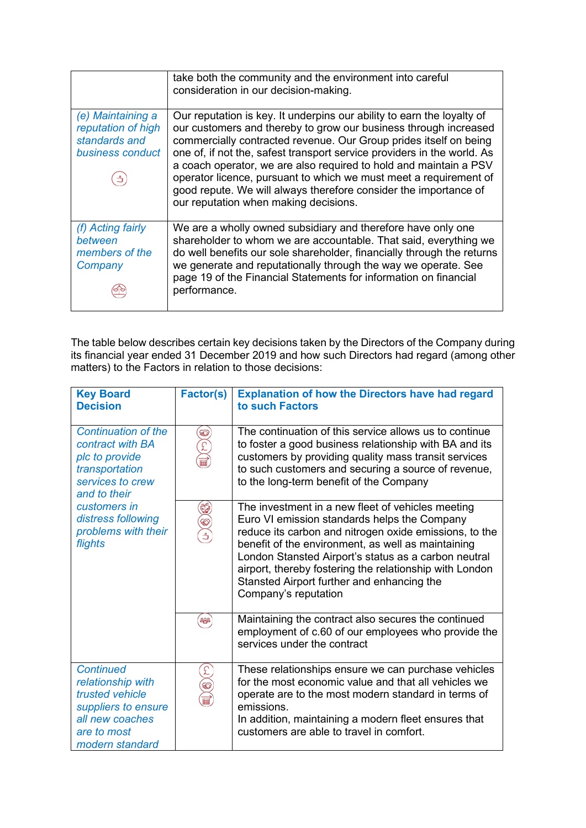|                                                                              | take both the community and the environment into careful<br>consideration in our decision-making.                                                                                                                                                                                                                                                                                                                                                                                                                                                 |
|------------------------------------------------------------------------------|---------------------------------------------------------------------------------------------------------------------------------------------------------------------------------------------------------------------------------------------------------------------------------------------------------------------------------------------------------------------------------------------------------------------------------------------------------------------------------------------------------------------------------------------------|
| (e) Maintaining a<br>reputation of high<br>standards and<br>business conduct | Our reputation is key. It underpins our ability to earn the loyalty of<br>our customers and thereby to grow our business through increased<br>commercially contracted revenue. Our Group prides itself on being<br>one of, if not the, safest transport service providers in the world. As<br>a coach operator, we are also required to hold and maintain a PSV<br>operator licence, pursuant to which we must meet a requirement of<br>good repute. We will always therefore consider the importance of<br>our reputation when making decisions. |
| (f) Acting fairly<br>between<br>members of the<br>Company                    | We are a wholly owned subsidiary and therefore have only one<br>shareholder to whom we are accountable. That said, everything we<br>do well benefits our sole shareholder, financially through the returns<br>we generate and reputationally through the way we operate. See<br>page 19 of the Financial Statements for information on financial<br>performance.                                                                                                                                                                                  |

The table below describes certain key decisions taken by the Directors of the Company during its financial year ended 31 December 2019 and how such Directors had regard (among other matters) to the Factors in relation to those decisions:

| <b>Key Board</b><br><b>Decision</b>                                                                                                                                                            | Factor(s)    | <b>Explanation of how the Directors have had regard</b><br>to such Factors                                                                                                                                                                                                                                                                                                                                 |
|------------------------------------------------------------------------------------------------------------------------------------------------------------------------------------------------|--------------|------------------------------------------------------------------------------------------------------------------------------------------------------------------------------------------------------------------------------------------------------------------------------------------------------------------------------------------------------------------------------------------------------------|
| <b>Continuation of the</b><br>contract with BA<br>plc to provide<br>transportation<br>services to crew<br>and to their<br>customers in<br>distress following<br>problems with their<br>flights | <del>బ</del> | The continuation of this service allows us to continue<br>to foster a good business relationship with BA and its<br>customers by providing quality mass transit services<br>to such customers and securing a source of revenue,<br>to the long-term benefit of the Company                                                                                                                                 |
|                                                                                                                                                                                                | 52           | The investment in a new fleet of vehicles meeting<br>Euro VI emission standards helps the Company<br>reduce its carbon and nitrogen oxide emissions, to the<br>benefit of the environment, as well as maintaining<br>London Stansted Airport's status as a carbon neutral<br>airport, thereby fostering the relationship with London<br>Stansted Airport further and enhancing the<br>Company's reputation |
|                                                                                                                                                                                                | 888          | Maintaining the contract also secures the continued<br>employment of c.60 of our employees who provide the<br>services under the contract                                                                                                                                                                                                                                                                  |
| <b>Continued</b><br>relationship with<br>trusted vehicle<br>suppliers to ensure<br>all new coaches<br>are to most<br>modern standard                                                           |              | These relationships ensure we can purchase vehicles<br>for the most economic value and that all vehicles we<br>operate are to the most modern standard in terms of<br>emissions.<br>In addition, maintaining a modern fleet ensures that<br>customers are able to travel in comfort.                                                                                                                       |